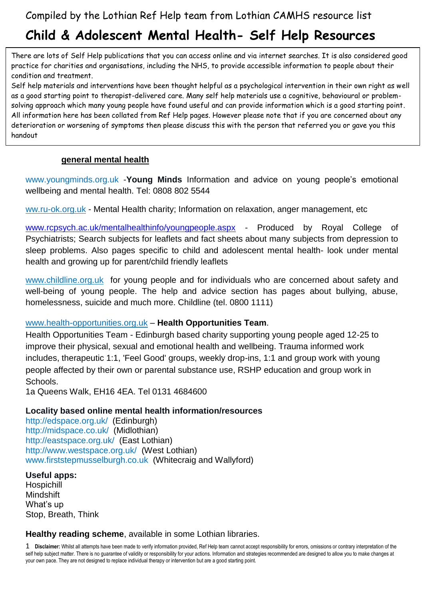# **Child & Adolescent Mental Health- Self Help Resources**

 There are lots of Self Help publications that you can access online and via internet searches. It is also considered good practice for charities and organisations, including the NHS, to provide accessible information to people about their condition and treatment.

Self help materials and interventions have been thought helpful as a psychological intervention in their own right as well as a good starting point to therapist-delivered care. Many self help materials use a cognitive, behavioural or problemsolving approach which many young people have found useful and can provide information which is a good starting point. All information here has been collated from Ref Help pages. However please note that if you are concerned about any deterioration or worsening of symptoms then please discuss this with the person that referred you or gave you this handout

#### **general mental health**

[www.youngminds.org.uk](https://www.youngminds.org.uk/) -**Young Minds** Information and advice on young people's emotional wellbeing and mental health. Tel: 0808 802 5544

[ww.ru-ok.org.uk](https://www.ru-ok.org.uk/) - Mental Health charity; Information on relaxation, anger management, etc

[www.rcpsych.ac.uk/mentalhealthinfo/youngpeople.aspx](http://www.rcpsych.ac.uk/mentalhealthinfo/youngpeople.aspx) - Produced by Royal College of Psychiatrists; Search subjects for leaflets and fact sheets about many subjects from depression to sleep problems. Also pages specific to child and adolescent mental health- look under mental health and growing up for parent/child friendly leaflets

[www.childline.org.uk](http://www.childline.org.uk/) for young people and for individuals who are concerned about safety and well-being of young people. The help and advice section has pages about bullying, abuse, homelessness, suicide and much more. Childline (tel. 0800 1111)

#### [www.health-opportunities.org.uk](http://www.health-opportunities.org.uk/) – **Health Opportunities Team**.

Health Opportunities Team - Edinburgh based charity supporting young people aged 12-25 to improve their physical, sexual and emotional health and wellbeing. Trauma informed work includes, therapeutic 1:1, 'Feel Good' groups, weekly drop-ins, 1:1 and group work with young people affected by their own or parental substance use, RSHP education and group work in Schools.

1a Queens Walk, EH16 4EA. Tel 0131 4684600

### **Locality based online mental health information/resources**

<http://edspace.org.uk/> (Edinburgh) <http://midspace.co.uk/> (Midlothian) <http://eastspace.org.uk/> (East Lothian) <http://www.westspace.org.uk/> (West Lothian) [www.firststepmusselburgh.co.uk](http://www.firststepmusselburgh.co.uk/) (Whitecraig and Wallyford)

#### **Useful apps:**

Hospichill Mindshift What's up Stop, Breath, Think

#### **Healthy reading scheme**, available in some Lothian libraries.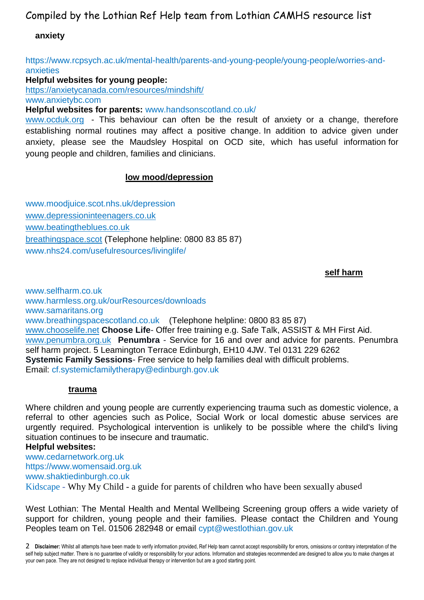Compiled by the Lothian Ref Help team from Lothian CAMHS resource list

#### **anxiety**

[https://www.rcpsych.ac.uk/mental-health/parents-and-young-people/young-people/worries-and](https://www.rcpsych.ac.uk/mental-health/parents-and-young-people/young-people/worries-and-anxieties)[anxieties](https://www.rcpsych.ac.uk/mental-health/parents-and-young-people/young-people/worries-and-anxieties)

#### **Helpful websites for young people:**

<https://anxietycanada.com/resources/mindshift/> [www.anxietybc.com](http://www.anxietybc.com/)

**Helpful websites for parents:** [www.handsonscotland.co.uk/](http://www.handsonscotland.co.uk/)

[www.ocduk.org](http://www.ocduk.org/) - This behaviour can often be the result of anxiety or a change, therefore establishing normal routines may affect a positive change. In addition to advice given under anxiety, please see the Maudsley Hospital on OCD site, which has useful information for young people and children, families and clinicians.

#### **low mood/depression**

[www.moodjuice.scot.nhs.uk/depression](http://www.moodjuice.scot.nhs.uk/depression.asp) [www.depressioninteenagers.co.uk](http://www.depressioninteenagers.co.uk/) [www.beatingtheblues.co.uk](http://www.beatingtheblues.co.uk/) [breathingspace.scot](https://breathingspace.scot/) (Telephone helpline: 0800 83 85 87) [www.nhs24.com/usefulresources/livinglife/](http://www.nhs24.com/usefulresources/livinglife/)

#### المسابق المسابق المسابق المسابق المسابق المسابق المسابق المسابق المسابق المسابق المسابق المسابق المسابق المسابق

[www.selfharm.co.uk](https://www.selfharm.co.uk/) [www.harmless.org.uk/ourResources/downloads](http://www.harmless.org.uk/ourResources/downloads) [www.samaritans.org](http://www.samaritans.org/) [www.breathingspacescotland.co.uk](http://www.breathingspacescotland.co.uk/) (Telephone helpline: 0800 83 85 87) [www.chooselife.net](http://www.chooselife.net/) **Choose Life**- Offer free training e.g. Safe Talk, ASSIST & MH First Aid. [www.penumbra.org.uk](http://www.penumbra.org.uk/) **Penumbra** - Service for 16 and over and advice for parents. Penumbra self harm project. 5 Leamington Terrace Edinburgh, EH10 4JW. Tel 0131 229 6262 **Systemic Family Sessions**- Free service to help families deal with difficult problems. Email: [cf.systemicfamilytherapy@edinburgh.gov.uk](mailto:cf.systemicfamilytherapy@edinburgh.gov.uk)

#### **trauma**

Where children and young people are currently experiencing trauma such as domestic violence, a referral to other agencies such as Police, Social Work or local domestic abuse services are urgently required. Psychological intervention is unlikely to be possible where the child's living situation continues to be insecure and traumatic.

#### **Helpful websites:**

[www.cedarnetwork.org.uk](https://www.cedarnetwork.org.uk/) [https://www.womensaid.org.uk](https://www.womensaid.org.uk/) [www.shaktiedinburgh.co.uk](http://www.shaktiedinburgh.co.uk/) Kidscape - Why My Child - [a guide for parents of children who have been sexually abuse](https://www.kidscape.org.uk/media/1035/kswhymychild.pdf)d

West Lothian: The Mental Health and Mental Wellbeing Screening group offers a wide variety of support for children, young people and their families. Please contact the Children and Young Peoples team on Tel. 01506 282948 or email [cypt@westlothian.gov.uk](mailto:cypt@westlothian.gov.uk)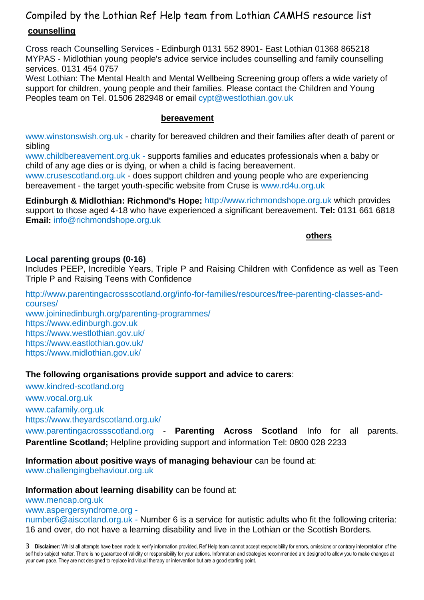# Compiled by the Lothian Ref Help team from Lothian CAMHS resource list **counselling**

Cross reach Counselling Services - Edinburgh 0131 552 8901- East Lothian 01368 865218 MYPAS - Midlothian young people's advice service includes counselling and family counselling services. 0131 454 0757

West Lothian: The Mental Health and Mental Wellbeing Screening group offers a wide variety of support for children, young people and their families. Please contact the Children and Young Peoples team on Tel. 01506 282948 or email [cypt@westlothian.gov.uk](mailto:cypt@westlothian.gov.uk)

#### **bereavement**

[www.winstonswish.org.uk](http://www.winstonswish.org.uk/) - charity for bereaved children and their families after death of parent or sibling

[www.childbereavement.org.uk](https://childbereavementuk.org/) - supports families and educates professionals when a baby or child of any age dies or is dying, or when a child is facing bereavement.

[www.crusescotland.org.uk](http://www.crusescotland.org.uk/) - does support children and young people who are experiencing bereavement - the target youth-specific website from Cruse is [www.rd4u.org.uk](http://www.rd4u.org.uk/)

**Edinburgh & Midlothian: Richmond's Hope:** [http://www.richmondshope.org.uk](http://www.richmondshope.org.uk/) which provides support to those aged 4-18 who have experienced a significant bereavement. **Tel:** 0131 661 6818 **Email:** [info@richmondshope.org.uk](mailto:info@richmondshope.org.uk)

*<u>others</u>* 

#### **Local parenting groups (0-16)**

Includes PEEP, Incredible Years, Triple P and Raising Children with Confidence as well as Teen Triple P and Raising Teens with Confidence

[http://www.parentingacrossscotland.org/info-for-families/resources/free-parenting-classes-and](http://www.parentingacrossscotland.org/info-for-families/resources/free-parenting-classes-and-courses/)[courses/](http://www.parentingacrossscotland.org/info-for-families/resources/free-parenting-classes-and-courses/) [www.joininedinburgh.org/parenting-programmes/](http://www.joininedinburgh.org/parenting-programmes/) [https://www.edinburgh.gov.uk](https://www.edinburgh.gov.uk/) <https://www.westlothian.gov.uk/> <https://www.eastlothian.gov.uk/> <https://www.midlothian.gov.uk/>

#### **The following organisations provide support and advice to carers**:

[www.kindred-scotland.org](http://www.kindred-scotland.org/)  [www.vocal.org.uk](http://www.vocal.org.uk/) [www.cafamily.org.uk](http://www.cafamily.org.uk/) <https://www.theyardscotland.org.uk/> [www.parentingacrossscotland.org](http://www.parentingacrossscotland.org/) - **Parenting Across Scotland** Info for all parents. **Parentline Scotland;** Helpline providing support and information Tel: 0800 028 2233

**Information about positive ways of managing behaviour** can be found at: [www.challengingbehaviour.org.uk](http://www.challengingbehaviour.org.uk/)

**Information about learning disability** can be found at:

[www.mencap.org.uk](http://www.mencap.org.uk/)

[www.aspergersyndrome.org](http://www.aspergersyndrome.org/) -

[number6@aiscotland.org.uk](mailto:number6@aiscotland.org.uk) - Number 6 is a service for autistic adults who fit the following criteria: 16 and over, do not have a learning disability and live in the Lothian or the Scottish Borders.